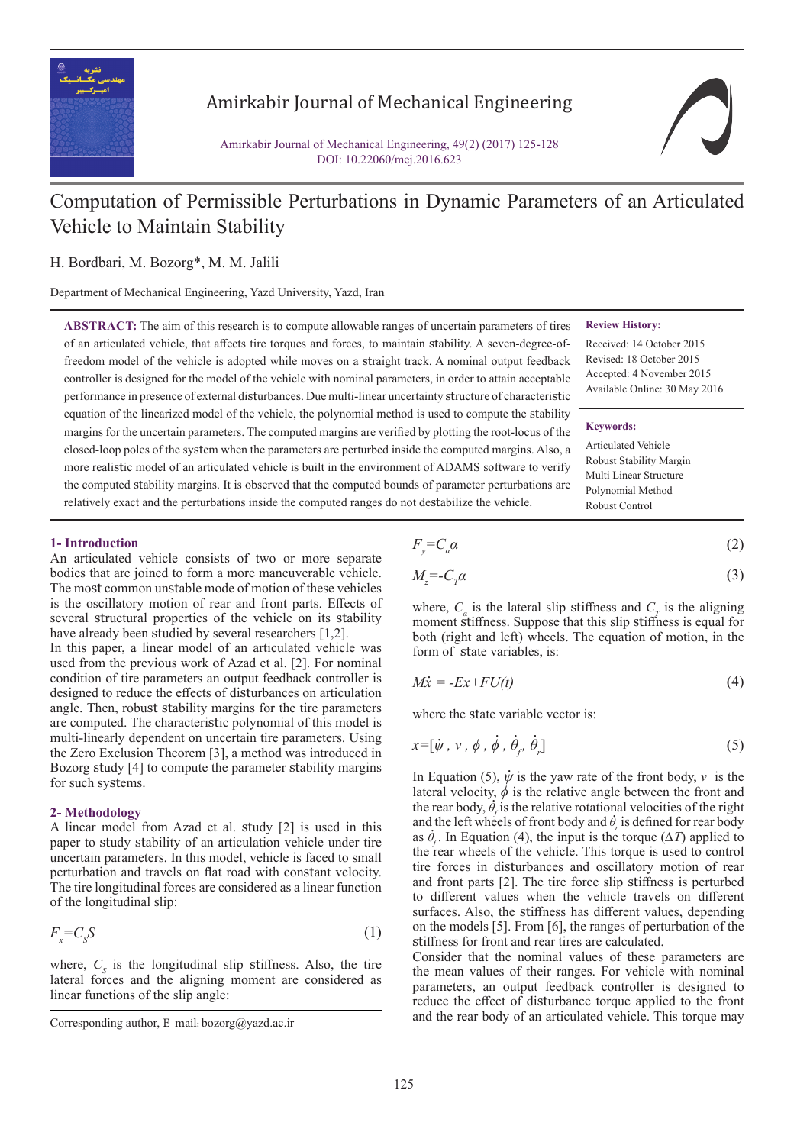

## Amirkabir Journal of Mechanical Engineering

Amirkabir Journal of Mechanical Engineering, 49(2) (2017) 125-128 DOI: 10.22060/mej.2016.623

# Computation of Permissible Perturbations in Dynamic Parameters of an Articulated Vehicle to Maintain Stability

## H. Bordbari, M. Bozorg\*, M. M. Jalili

Department of Mechanical Engineering, Yazd University, Yazd, Iran

**ABSTRACT:** The aim of this research is to compute allowable ranges of uncertain parameters of tires of an articulated vehicle, that affects tire torques and forces, to maintain stability. A seven-degree-offreedom model of the vehicle is adopted while moves on a straight track. A nominal output feedback controller is designed for the model of the vehicle with nominal parameters, in order to attain acceptable performance in presence of external disturbances. Due multi-linear uncertainty structure of characteristic equation of the linearized model of the vehicle, the polynomial method is used to compute the stability margins for the uncertain parameters. The computed margins are verified by plotting the root-locus of the closed-loop poles of the system when the parameters are perturbed inside the computed margins. Also, a more realistic model of an articulated vehicle is built in the environment of ADAMS software to verify the computed stability margins. It is observed that the computed bounds of parameter perturbations are relatively exact and the perturbations inside the computed ranges do not destabilize the vehicle.

**Review History:**

Received: 14 October 2015 Revised: 18 October 2015 Accepted: 4 November 2015 Available Online: 30 May 2016

#### **Keywords:**

Articulated Vehicle Robust Stability Margin Multi Linear Structure Polynomial Method Robust Control

#### **1- Introduction**

An articulated vehicle consists of two or more separate bodies that are joined to form a more maneuverable vehicle. The most common unstable mode of motion of these vehicles is the oscillatory motion of rear and front parts. Effects of several structural properties of the vehicle on its stability have already been studied by several researchers [1,2].

In this paper, a linear model of an articulated vehicle was used from the previous work of Azad et al. [2]. For nominal condition of tire parameters an output feedback controller is designed to reduce the effects of disturbances on articulation angle. Then, robust stability margins for the tire parameters are computed. The characteristic polynomial of this model is multi-linearly dependent on uncertain tire parameters. Using the Zero Exclusion Theorem [3], a method was introduced in Bozorg study [4] to compute the parameter stability margins for such systems.

### **2- Methodology**

A linear model from Azad et al. study [2] is used in this paper to study stability of an articulation vehicle under tire uncertain parameters. In this model, vehicle is faced to small perturbation and travels on flat road with constant velocity. The tire longitudinal forces are considered as a linear function of the longitudinal slip:

$$
F_x = C_s S \tag{1}
$$

where,  $C_s$  is the longitudinal slip stiffness. Also, the tire lateral forces and the aligning moment are considered as linear functions of the slip angle:

$$
F_y = C_a \alpha \tag{2}
$$

$$
M_z = -C_\gamma \alpha \tag{3}
$$

where,  $C_a$  is the lateral slip stiffness and  $C_T$  is the aligning moment stiffness. Suppose that this slip stiffness is equal for both (right and left) wheels. The equation of motion, in the form of state variables, is:

$$
M\dot{x} = -Ex + FU(t) \tag{4}
$$

where the state variable vector is:

$$
x=[\dot{\psi},\,v\,,\,\dot{\phi}\,,\,\dot{\theta}_j,\,\dot{\theta}_r] \tag{5}
$$

In Equation (5),  $\dot{\psi}$  is the yaw rate of the front body,  $v$  is the lateral velocity,  $\phi$  is the relative angle between the front and the rear body,  $\theta_f$  is the relative rotational velocities of the right and the left wheels of front body and  $\theta_r$  is defined for rear body as  $\dot{\theta}_f$ . In Equation (4), the input is the torque ( $\Delta T$ ) applied to the rear wheels of the vehicle. This torque is used to control tire forces in disturbances and oscillatory motion of rear and front parts [2]. The tire force slip stiffness is perturbed to different values when the vehicle travels on different surfaces. Also, the stiffness has different values, depending on the models [5]. From [6], the ranges of perturbation of the stiffness for front and rear tires are calculated. eral velocity,  $\phi$  is the relative angle<br>rear body,  $\dot{\theta}_i$  is the relative rotation<br>if the left wheels of front body and  $\dot{\theta}$ .

Consider that the nominal values of these parameters are the mean values of their ranges. For vehicle with nominal parameters, an output feedback controller is designed to reduce the effect of disturbance torque applied to the front Corresponding author, E-mail: bozorg@yazd.ac.ir and the rear body of an articulated vehicle. This torque may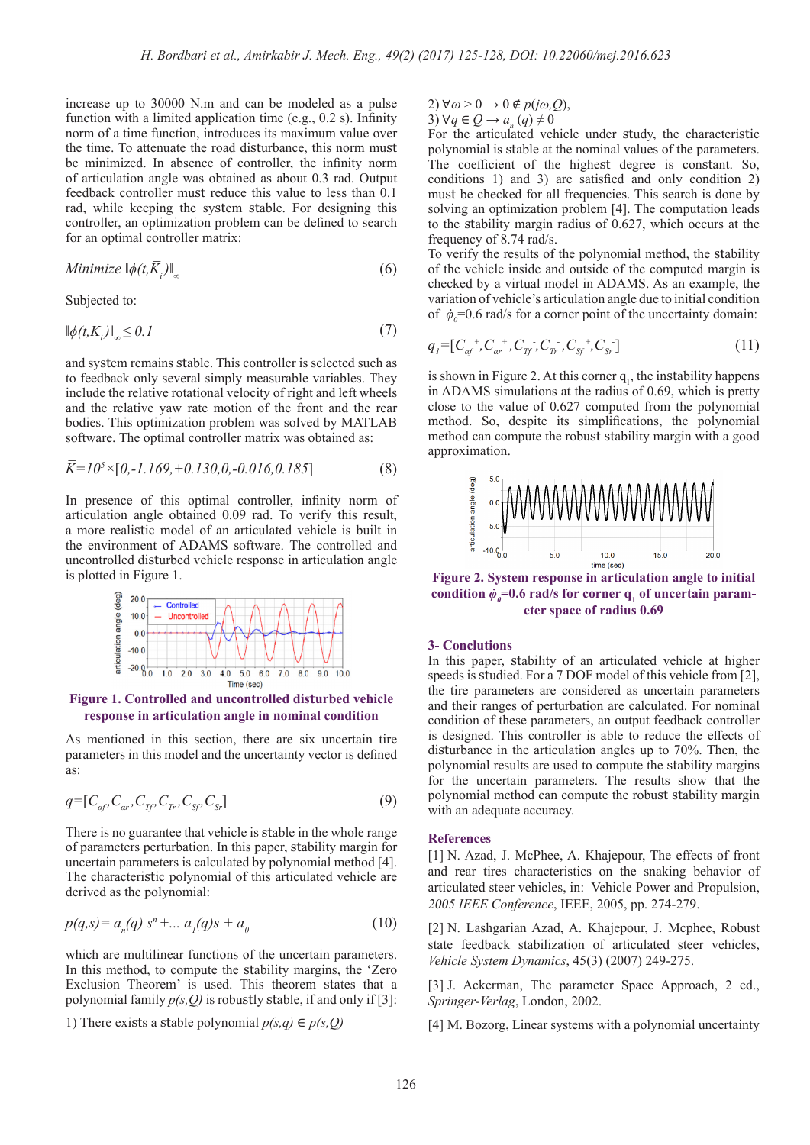increase up to 30000 N.m and can be modeled as a pulse function with a limited application time (e.g., 0.2 s). Infinity norm of a time function, introduces its maximum value over the time. To attenuate the road disturbance, this norm must be minimized. In absence of controller, the infinity norm of articulation angle was obtained as about 0.3 rad. Output feedback controller must reduce this value to less than 0.1 rad, while keeping the system stable. For designing this controller, an optimization problem can be defined to search for an optimal controller matrix:

Minimize 
$$
\|\phi(t,\overline{K}_i)\|_{\infty}
$$
 (6)

Subjected to:

$$
\|\phi(t,\overline{K}_i)\|_{\infty} \le 0.1\tag{7}
$$

and system remains stable. This controller is selected such as to feedback only several simply measurable variables. They include the relative rotational velocity of right and left wheels and the relative yaw rate motion of the front and the rear bodies. This optimization problem was solved by MATLAB software. The optimal controller matrix was obtained as:

$$
\overline{K} = 10^5 \times [0, -1.169, +0.130, 0, -0.016, 0.185]
$$
 (8)

In presence of this optimal controller, infinity norm of articulation angle obtained 0.09 rad. To verify this result, a more realistic model of an articulated vehicle is built in the environment of ADAMS software. The controlled and uncontrolled disturbed vehicle response in articulation angle is plotted in Figure 1.



**Figure 1. Controlled and uncontrolled disturbed vehicle response in articulation angle in nominal condition**

As mentioned in this section, there are six uncertain tire parameters in this model and the uncertainty vector is defined as:

$$
q = [C_{a f}, C_{a r}, C_{f f}, C_{f r}, C_{s f}, C_{s r}] \tag{9}
$$

There is no guarantee that vehicle is stable in the whole range of parameters perturbation. In this paper, stability margin for uncertain parameters is calculated by polynomial method [4]. The characteristic polynomial of this articulated vehicle are derived as the polynomial:

$$
p(q,s) = a_n(q) s^n + \dots a_1(q)s + a_0 \tag{10}
$$

which are multilinear functions of the uncertain parameters. In this method, to compute the stability margins, the 'Zero Exclusion Theorem' is used. This theorem states that a polynomial family  $p(s, Q)$  is robustly stable, if and only if [3]:

1) There exists a stable polynomial *p(s,q)* ∈ *p(s,Q)*

2) 
$$
\forall \omega > 0 \rightarrow 0 \notin p(j\omega, Q)
$$
,  
3)  $\forall q \in Q \rightarrow a_{n}(q) \neq 0$ 

For the articulated vehicle under study, the characteristic polynomial is stable at the nominal values of the parameters. The coefficient of the highest degree is constant. So, conditions 1) and 3) are satisfied and only condition 2) must be checked for all frequencies. This search is done by solving an optimization problem [4]. The computation leads to the stability margin radius of 0.627, which occurs at the frequency of 8.74 rad/s.

To verify the results of the polynomial method, the stability of the vehicle inside and outside of the computed margin is checked by a virtual model in ADAMS. As an example, the variation of vehicle's articulation angle due to initial condition variation of venicle s articulation angle due to initial condition<br>of  $\dot{\varphi}_0 = 0.6$  rad/s for a corner point of the uncertainty domain:

$$
q_{I} = [C_{af}^{\ \ +}, C_{ar}^{\ \ +}, C_{Tf}^{\ \ +}, C_{Ar}^{\ \ -}, C_{Sf}^{\ \ +}, C_{Sr}^{\ \ -}]
$$
\n
$$
\tag{11}
$$

is shown in Figure 2. At this corner  $q_1$ , the instability happens in ADAMS simulations at the radius of 0.69, which is pretty close to the value of 0.627 computed from the polynomial method. So, despite its simplifications, the polynomial method can compute the robust stability margin with a good approximation.



**Figure 2. System response in articulation angle to initial <br>condition**  $\dot{\phi} = 0.6$  **yeals for coverage of uncertain novem**condition  $\dot{\varphi}_0 = 0.6$  rad/s for corner  $q_1$  of uncertain param**eter space of radius 0.69**

## **3- Conclutions**

In this paper, stability of an articulated vehicle at higher speeds is studied. For a 7 DOF model of this vehicle from [2], the tire parameters are considered as uncertain parameters and their ranges of perturbation are calculated. For nominal condition of these parameters, an output feedback controller is designed. This controller is able to reduce the effects of disturbance in the articulation angles up to 70%. Then, the polynomial results are used to compute the stability margins for the uncertain parameters. The results show that the polynomial method can compute the robust stability margin with an adequate accuracy.

#### **References**

[1] N. Azad, J. McPhee, A. Khajepour, The effects of front and rear tires characteristics on the snaking behavior of articulated steer vehicles, in: Vehicle Power and Propulsion, *2005 IEEE Conference*, IEEE, 2005, pp. 274-279.

[2] N. Lashgarian Azad, A. Khajepour, J. Mcphee, Robust state feedback stabilization of articulated steer vehicles, *Vehicle System Dynamics*, 45(3) (2007) 249-275.

[3] J. Ackerman, The parameter Space Approach, 2 ed., *Springer-Verlag*, London, 2002.

[4] M. Bozorg, Linear systems with a polynomial uncertainty